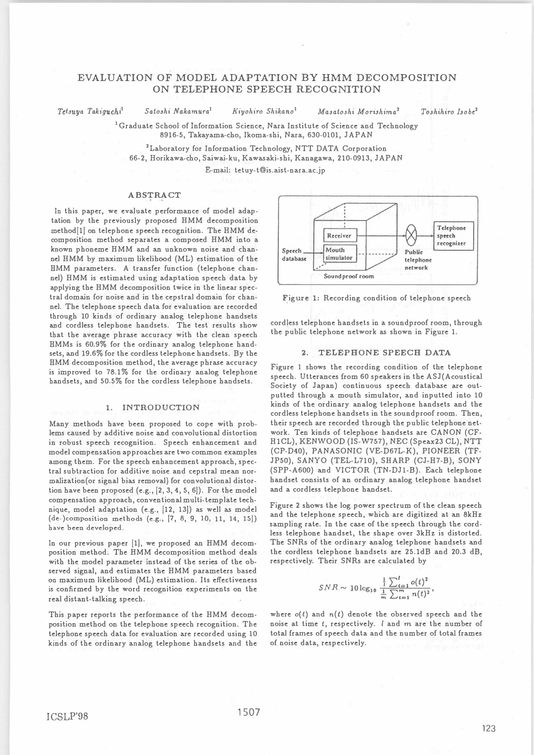# EVALUATION OF MODEL ADAPTATION BY HMM DECOMPOSITION ON TELEPHONE SPEECH RECOGNITION

Telsuya Takiguchi<sup>1</sup>

Kiyohiro Shikano<sup>1</sup>

Masatoshi Morishima<sup>2</sup>

Toshihiro Isobe<sup>2</sup>

<sup>1</sup>Graduate School of Information Science, Nara Institute of Science and Technology 8916-5, Takayama-cho, Ikoma-shi, Nara, 630-0101, JAPAN

<sup>2</sup> Laboratory for Information Technology, NTT DATA Corporation

66-2, Horikawa-cho, Saiwai-ku, Kawasaki-shi, Kanagawa, 210-0913, JAPAN

E-mail: tetuy-t@is.aist-nara.ac.jp

## **ABSTRACT**

Satoshi Nakamura<sup>1</sup>

In this paper, we evaluate performance of model adaptation by the previously proposed HMM decomposition method[1] on telephone speech recognition. The HMM decomposition method separates a composed HMM into a known phoneme HMM and an unknown noise and channel HMM by maximum likelihood (ML) estimation of the HMM parameters. A transfer function (telephone channel) HMM is estimated using adaptation speech data by applying the HMM decomposition twice in the linear spectral domain for noise and in the cepstral domain for channel. The telephone speech data for evaluation are recorded through 10 kinds of ordinary analog telephone handsets and cordless telephone handsets. The test results show that the average phrase accuracy with the clean speech HMMs is 60.9% for the ordinary analog telephone handsets, and 19.6% for the cordless telephone handsets. By the HMM decomposition method, the average phrase accuracy is improved to 78.1% for the ordinary analog telephone handsets, and 50.5% for the cordless telephone handsets.

#### 1. INTRODUCTION

Many methods have been proposed to cope with problems caused by additive noise and convolutional distortion in robust speech recognition. Speech enhancement and model compensation approaches are two common examples among them. For the speech enhancement approach, spectral subtraction for additive noise and cepstral mean normalization(or signal bias removal) for convolutional distortion have been proposed (e.g., [2, 3, 4, 5, 6]). For the model compensation approach, conventional multi-template technique, model adaptation (e.g., [12, 13]) as well as model (de-)composition methods (e.g., [7, 8, 9, 10, 11, 14, 15]) have been developed.

In our previous paper [1], we proposed an HMM decomposition method. The HMM decomposition method deals with the model parameter instead of the series of the observed signal, and estimates the HMM parameters based on maximum likelihood (ML) estimation. Its effectiveness is confirmed by the word recognition experiments on the real distant-talking speech.

This paper reports the performance of the HMM decomposition method on the telephone speech recognition. The telephone speech data for evaluation are recorded using 10 kinds of the ordinary analog telephone handsets and the



Figure 1: Recording condition of telephone speech

cordless telephone handsets in a soundproof room, through the public telephone network as shown in Figure 1.

# 2. TELEPHONE SPEECH DATA

Figure 1 shows the recording condition of the telephone speech. Utterances from 60 speakers in the ASJ(Acoustical Society of Japan) continuous speech database are outputted through a mouth simulator, and inputted into 10 kinds of the ordinary analog telephone handsets and the cordless telephone handsets in the soundproof room. Then, their speech are recorded through the public telephone network. Ten kinds of telephone handsets are CANON (CF-H1CL), KENWOOD (IS-W757), NEC (Speax23 CL), NTT (CP-D40), PANASONIC (VE-D67L-K), PIONEER (TF-JP50), SANYO (TEL-L710), SHARP (CJ-H7-B), SONY (SPP-A600) and VICTOR (TN-DJ1-B). Each telephone handset consists of an ordinary analog telephone handset and a cordless telephone handset.

Figure 2 shows the log power spectrum of the clean speech and the telephone speech, which are digitized at an 8kHz sampling rate. In the case of the speech through the cordless telephone handset, the shape over 3kHz is distorted. The SNRs of the ordinary analog telephone handsets and the cordless telephone handsets are 25.1dB and 20.3 dB, respectively. Their SNRs are calculated by

$$
SNR \sim 10 \log_{10} \frac{\frac{1}{i} \sum_{t=1}^{l} o(t)^2}{\frac{1}{m} \sum_{t=1}^{m} n(t)^2},
$$

where  $o(t)$  and  $n(t)$  denote the observed speech and the noise at time t, respectively. I and m are the number of total frames of speech data and the number of total frames of noise data, respectively.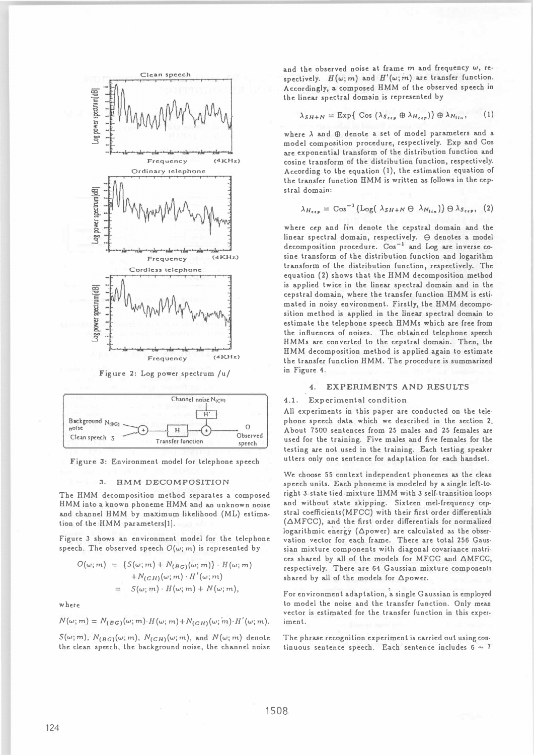

Figure 2: Log power spectrum /u/



Figure 3: Environment model for telephone speech

#### **HMM DECOMPOSITION**  $3.$

The HMM decomposition method separates a composed HMM into a known phoneme HMM and an unknown noise and channel HMM by maximum likelihood (ML) estimation of the HMM parameters[1].

Figure 3 shows an environment model for the telephone speech. The observed speech  $O(\omega; m)$  is represented by

$$
O(\omega; m) = \{S(\omega; m) + N_{(BG)}(\omega; m)\} \cdot H(\omega; m)
$$

$$
+ N_{(CH)}(\omega; m) \cdot H'(\omega; m)
$$

$$
= S(\omega; m) \cdot H(\omega; m) + N(\omega; m),
$$

where

 $N(\omega; m) = N_{(BG)}(\omega; m) \cdot H(\omega; m) + N_{(GH)}(\omega; m) \cdot H'(\omega; m).$ 

 $S(\omega; m)$ ,  $N_{(BG)}(\omega; m)$ ,  $N_{(CH)}(\omega; m)$ , and  $N(\omega; m)$  denote the clean speech, the background noise, the channel noise and the observed noise at frame  $m$  and frequency  $\omega$ , respectively.  $H(\omega; m)$  and  $H'(\omega; m)$  are transfer function. Accordingly, a composed HMM of the observed speech in the linear spectral domain is represented by

$$
\lambda_{SH+N} = \text{Exp}\{\text{ Cos }(\lambda_{S_{exp}} \oplus \lambda_{H_{exp}})\} \oplus \lambda_{N_{lin}}, \qquad (1)
$$

where  $\lambda$  and  $\oplus$  denote a set of model parameters and a model composition procedure, respectively. Exp and Cos are exponential transform of the distribution function and cosine transform of the distribution function, respectively. According to the equation (1), the estimation equation of the transfer function HMM is written as follows in the cepstral domain:

$$
\lambda_{H_{\epsilon\epsilon\mathfrak{p}}} = \text{Cos}^{-1}\{\text{Log}(\lambda_{SH+N} \Theta \lambda_{N_{\text{lin}}})\} \Theta \lambda_{S_{\epsilon\epsilon\mathfrak{p}}}, \quad (2)
$$

where cep and lin denote the cepstral domain and the linear spectral domain, respectively.  $\Theta$  denotes a model  $decomposition$  procedure.  $Cos^{-1}$  and  $Log$  are inverse cosine transform of the distribution function and logarithm transform of the distribution function, respectively. The equation (2) shows that the HMM decomposition method is applied twice in the linear spectral domain and in the cepstral domain, where the transfer function HMM is estimated in noisy environment. Firstly, the HMM decomposition method is applied in the linear spectral domain to estimate the telephone speech HMMs which are free from the influences of noises. The obtained telephone speech HMMs are converted to the cepstral domain. Then, the HMM decomposition method is applied again to estimate the transfer function HMM. The procedure is summarized in Figure 4.

### 4. EXPERIMENTS AND RESULTS

#### $4.1.$ Experimental condition

All experiments in this paper are conducted on the telephone speech data which we described in the section 2. About 7500 sentences from 25 males and 25 females are used for the training. Five males and five females for the testing are not used in the training. Each testing speaker utters only one sentence for adaptation for each handset.

We choose 55 context independent phonemes as the clean speech units. Each phoneme is modeled by a single left-toright 3-state tied-mixture HMM with 3 self-transition loops and without state skipping. Sixteen mel-frequency cepstral coefficients (MFCC) with their first order differentials (AMFCC), and the first order differentials for normalized logarithmic energy (Apower) are calculated as the observation vector for each frame. There are total 256 Gaussian mixture components with diagonal covariance matrices shared by all of the models for MFCC and AMFCC, respectively. There are 64 Gaussian mixture components shared by all of the models for Apower.

For environment adaptation, a single Gaussian is employed to model the noise and the transfer function. Only mean vector is estimated for the transfer function in this experiment.

The phrase recognition experiment is carried out using continuous sentence speech. Each sentence includes  $6 \sim 7$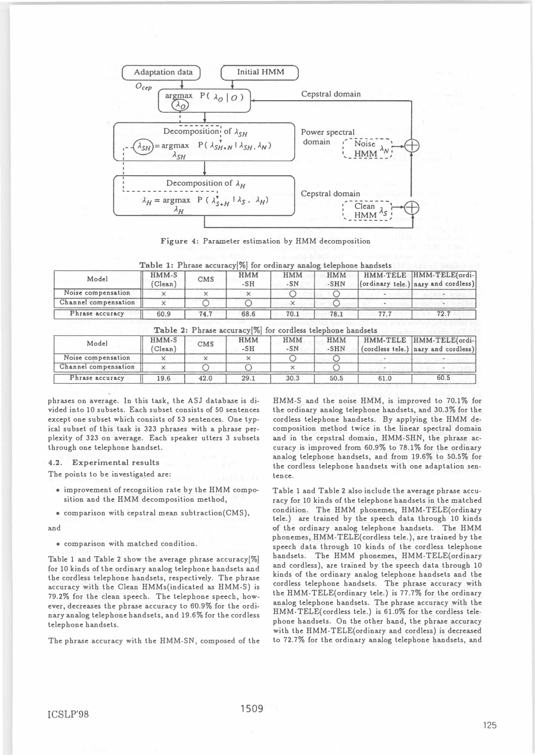

Figure 4: Parameter estimation by HMM decomposition

| Model                | HMM-S<br>(Clean) | CMS  | <b>HMM</b><br>$-SH$                                          | <b>HMM</b><br>$-SN$ | <b>HMM</b><br>$-SHN$ |                              | HMM-TELE HMM-TELE(ordi-<br>(ordinary tele.) nary and cordless) |
|----------------------|------------------|------|--------------------------------------------------------------|---------------------|----------------------|------------------------------|----------------------------------------------------------------|
| Noise compensation   | X                | ×    | ×                                                            | $\left( \right)$    | $\left( \right)$     |                              |                                                                |
| Channel compensation | X                |      |                                                              | $\times$            | $\circ$              |                              |                                                                |
| Phrase accuracy      | 60.9             | 74.7 | 68.6                                                         | 70.1                | 78.1                 | 77.7                         | 72.7                                                           |
|                      |                  |      |                                                              |                     |                      |                              |                                                                |
|                      |                  |      | Table 2: Phrase accuracy [%] for cordless telephone handsets |                     |                      |                              |                                                                |
| Model                | HMM-S<br>Clean)  | CMS  | <b>HMM</b><br>$-SH$                                          | <b>HMM</b><br>$-SN$ | <b>HMM</b><br>$-SHN$ | HMM-TELE<br>(cordless tele.) | HMM-TELE(ordi-<br>nary and cordless)                           |
| Noise compensation   | $\times$         | X    | $\times$                                                     | $\left($            | $\bigcirc$           |                              |                                                                |
| Channel compensation | $\times$         | С    |                                                              | $\times$            | ()                   |                              |                                                                |

phrases on average. ln this task, the ASJ database is divided into 10 subsets. Each subset consists of 50 sentences except one subset which consists of 53 sentences. One typica1 subset of this task is 323 phrases with a phrase perplexity of 323 on average. Each speaker utters 3 subsets through one telephone handset.

#### 4.2. Experimental results

The points to be investigated are:

- improvement of recognition rate by the HMM composition and the HMM decomposition method,
- $\bullet$  comparison with cepstral mean subtraction(CMS),

回d

• comparison with matched condition.

Table 1 and Table 2 show the average phrase accuracy[%] for 10 kinds of the ordinary analog telephone handsets and the cordless telephone handsets, respectively. The phrase accuracy with the Clean HMMs(indicated as HMM・S) is 79.2% for the clean speech. The telepbone speecb, .however, decreases tbe pbrase accuracy to 60.9% for the ordinary analog telephone handsets, and 19.6% for the cordless telephone handsets.

The phrase accuracy with the HMM-SN, composed of the

HMM-S and the noise HMM, is improved to 70.1% for the ordinary analog telephone handsets, and 30.3% for the cordless telephone handsets. By applying the HMM decomposition method twice in the linear spectral domain and in the cepstral domain, HMM-SHN, the phrase accuracy is improved from 60.9% to 78.1% for the ordinary analog telephone handsets, and from 19.6% to 50.5% for the cordless telephone handsets with one adaptation sentence.

Table 1 and Table 2 also include the average phrase accuracy for 10 kinds of the telephone handsets in the matched condition. The HMM phonemes, HMM・TELE(ordinary tele.) are trained by the speech data through 10 kinds of the ordinary analog telephone handsets. The HMM phonemes, HMM-TELE(cordless tele.), are trained by the speech data through 10 kinds of the cordless telephone handsets. The HMM phonemes, HMM-TELE(ordinary and cordless), are trained by the speech data through 10 kinds of the ordinary analog telephone handsets and the cordless telephone handsets. The phrase accuracy with the HMM-TELE(ordinary tele.) is 77.7% for the ordinary analog telephone handsets. The phrase accuracy with the HMM-TELE( cordless tele.) is 61.0% for the cordless telephone handsets. On the other hand, the phrase accuracy with the HMM-TELE(ordinary and cordless) is decreased to 72.7% for the ordinary analog telephone handsets, and